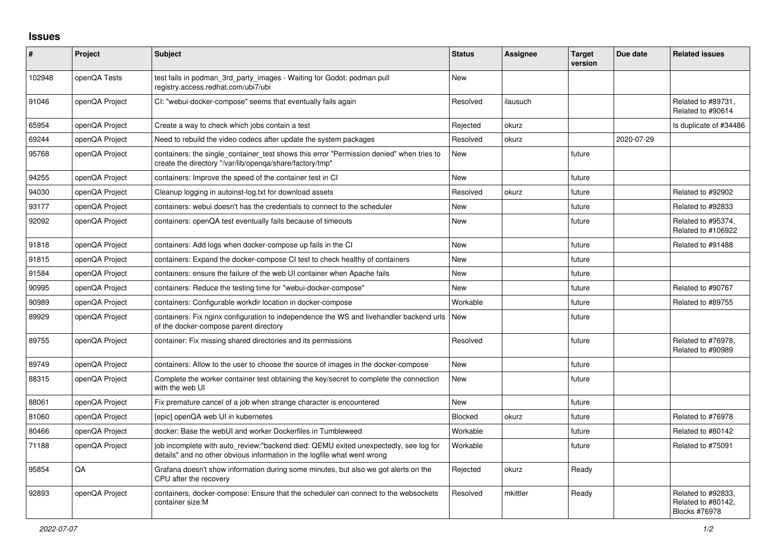## **Issues**

| #      | Project        | <b>Subject</b>                                                                                                                                                   | <b>Status</b> | <b>Assignee</b> | <b>Target</b><br>version | Due date   | <b>Related issues</b>                                     |
|--------|----------------|------------------------------------------------------------------------------------------------------------------------------------------------------------------|---------------|-----------------|--------------------------|------------|-----------------------------------------------------------|
| 102948 | openQA Tests   | test fails in podman_3rd_party_images - Waiting for Godot: podman pull<br>registry.access.redhat.com/ubi7/ubi                                                    | <b>New</b>    |                 |                          |            |                                                           |
| 91046  | openQA Project | CI: "webui-docker-compose" seems that eventually fails again                                                                                                     | Resolved      | ilausuch        |                          |            | Related to #89731,<br>Related to #90614                   |
| 65954  | openQA Project | Create a way to check which jobs contain a test                                                                                                                  | Rejected      | okurz           |                          |            | Is duplicate of #34486                                    |
| 69244  | openQA Project | Need to rebuild the video codecs after update the system packages                                                                                                | Resolved      | okurz           |                          | 2020-07-29 |                                                           |
| 95768  | openQA Project | containers: the single_container_test shows this error "Permission denied" when tries to<br>create the directory "/var/lib/openqa/share/factory/tmp"             | New           |                 | future                   |            |                                                           |
| 94255  | openQA Project | containers: Improve the speed of the container test in CI                                                                                                        | <b>New</b>    |                 | future                   |            |                                                           |
| 94030  | openQA Project | Cleanup logging in autoinst-log.txt for download assets                                                                                                          | Resolved      | okurz           | future                   |            | Related to #92902                                         |
| 93177  | openQA Project | containers: webui doesn't has the credentials to connect to the scheduler                                                                                        | <b>New</b>    |                 | future                   |            | Related to #92833                                         |
| 92092  | openQA Project | containers: openQA test eventually fails because of timeouts                                                                                                     | <b>New</b>    |                 | future                   |            | Related to #95374,<br>Related to #106922                  |
| 91818  | openQA Project | containers: Add logs when docker-compose up fails in the CI                                                                                                      | <b>New</b>    |                 | future                   |            | Related to #91488                                         |
| 91815  | openQA Project | containers: Expand the docker-compose CI test to check healthy of containers                                                                                     | <b>New</b>    |                 | future                   |            |                                                           |
| 91584  | openQA Project | containers: ensure the failure of the web UI container when Apache fails                                                                                         | New           |                 | future                   |            |                                                           |
| 90995  | openQA Project | containers: Reduce the testing time for "webui-docker-compose"                                                                                                   | New           |                 | future                   |            | Related to #90767                                         |
| 90989  | openQA Project | containers: Configurable workdir location in docker-compose                                                                                                      | Workable      |                 | future                   |            | Related to #89755                                         |
| 89929  | openQA Project | containers: Fix nginx configuration to independence the WS and livehandler backend urls<br>of the docker-compose parent directory                                | <b>New</b>    |                 | future                   |            |                                                           |
| 89755  | openQA Project | container: Fix missing shared directories and its permissions                                                                                                    | Resolved      |                 | future                   |            | Related to #76978,<br>Related to #90989                   |
| 89749  | openQA Project | containers: Allow to the user to choose the source of images in the docker-compose                                                                               | <b>New</b>    |                 | future                   |            |                                                           |
| 88315  | openQA Project | Complete the worker container test obtaining the key/secret to complete the connection<br>with the web UI                                                        | New           |                 | future                   |            |                                                           |
| 88061  | openQA Project | Fix premature cancel of a job when strange character is encountered                                                                                              | <b>New</b>    |                 | future                   |            |                                                           |
| 81060  | openQA Project | [epic] openQA web UI in kubernetes                                                                                                                               | Blocked       | okurz           | future                   |            | Related to #76978                                         |
| 80466  | openQA Project | docker: Base the webUI and worker Dockerfiles in Tumbleweed                                                                                                      | Workable      |                 | future                   |            | Related to #80142                                         |
| 71188  | openQA Project | job incomplete with auto review:"backend died: QEMU exited unexpectedly, see log for<br>details" and no other obvious information in the logfile what went wrong | Workable      |                 | future                   |            | Related to #75091                                         |
| 95854  | QA             | Grafana doesn't show information during some minutes, but also we got alerts on the<br>CPU after the recovery                                                    | Rejected      | okurz           | Ready                    |            |                                                           |
| 92893  | openQA Project | containers, docker-compose: Ensure that the scheduler can connect to the websockets<br>container size:M                                                          | Resolved      | mkittler        | Ready                    |            | Related to #92833.<br>Related to #80142,<br>Blocks #76978 |